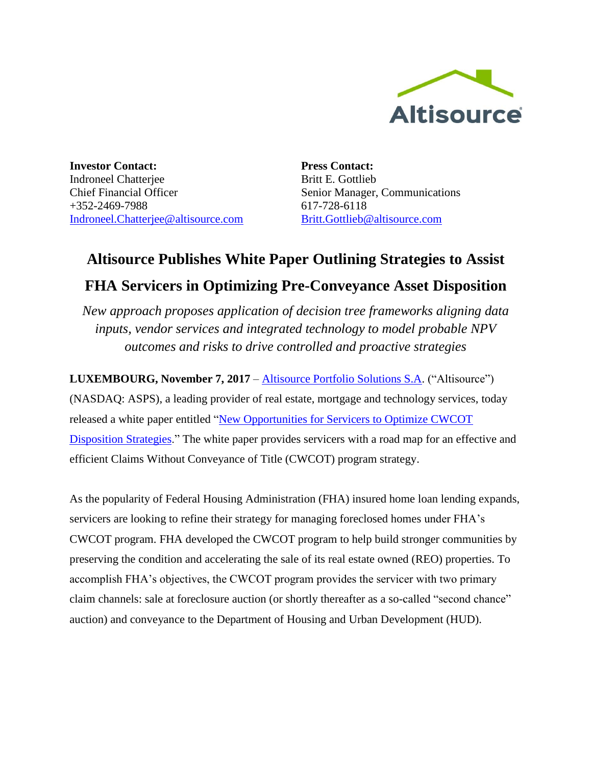

**Investor Contact:** Indroneel Chatterjee Chief Financial Officer +352-2469-7988 [Indroneel.Chatterjee@altisource.com](mailto:Indroneel.Chatterjee@altisource.com) **Press Contact:** Britt E. Gottlieb Senior Manager, Communications 617-728-6118 [Britt.Gottlieb@altisource.com](mailto:Britt.Gottlieb@altisource.com)

## **Altisource Publishes White Paper Outlining Strategies to Assist**

## **FHA Servicers in Optimizing Pre-Conveyance Asset Disposition**

*New approach proposes application of decision tree frameworks aligning data inputs, vendor services and integrated technology to model probable NPV outcomes and risks to drive controlled and proactive strategies* 

**LUXEMBOURG, November 7, 2017** – **[Altisource Portfolio Solutions S.A.](https://www.altisource.com/?utm_campaign=CWCOTWhitePaper&utm_source=PR&utm_medium=PR&utm_content=first)** ("Altisource") (NASDAQ: ASPS), a leading provider of real estate, mortgage and technology services, today released a white paper entitled ["New Opportunities for Servicers to Optimize CWCOT](http://clp.altisource.com/l/84982/2017-11-02/8x3krl)  [Disposition Strategies.](http://clp.altisource.com/l/84982/2017-11-02/8x3krl)" The white paper provides servicers with a road map for an effective and efficient Claims Without Conveyance of Title (CWCOT) program strategy.

As the popularity of Federal Housing Administration (FHA) insured home loan lending expands, servicers are looking to refine their strategy for managing foreclosed homes under FHA's CWCOT program. FHA developed the CWCOT program to help build stronger communities by preserving the condition and accelerating the sale of its real estate owned (REO) properties. To accomplish FHA's objectives, the CWCOT program provides the servicer with two primary claim channels: sale at foreclosure auction (or shortly thereafter as a so-called "second chance" auction) and conveyance to the Department of Housing and Urban Development (HUD).